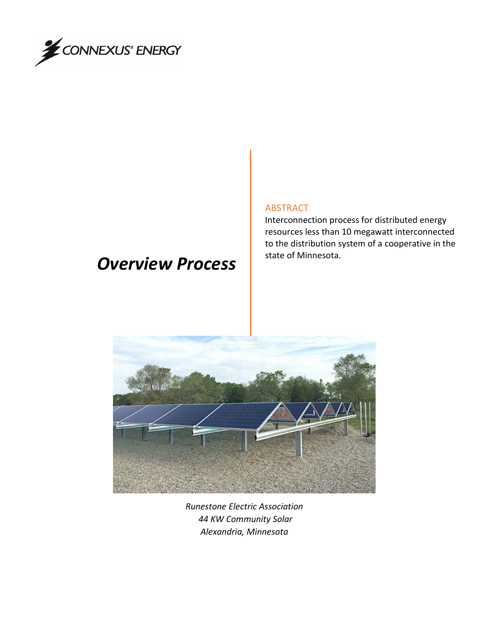

# *Overview Process*

#### ABSTRACT

Interconnection process for distributed energy resources less than 10 megawatt interconnected to the distribution system of a cooperative in the state of Minnesota.



*Runestone Electric Association 44 KW Community Solar Alexandria, Minnesota*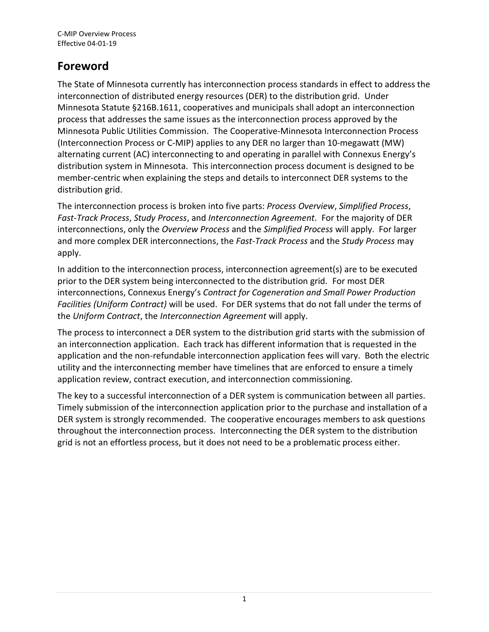# **Foreword**

The State of Minnesota currently has interconnection process standards in effect to address the interconnection of distributed energy resources (DER) to the distribution grid. Under Minnesota Statute §216B.1611, cooperatives and municipals shall adopt an interconnection process that addresses the same issues as the interconnection process approved by the Minnesota Public Utilities Commission. The Cooperative-Minnesota Interconnection Process (Interconnection Process or C-MIP) applies to any DER no larger than 10-megawatt (MW) alternating current (AC) interconnecting to and operating in parallel with Connexus Energy's distribution system in Minnesota. This interconnection process document is designed to be member-centric when explaining the steps and details to interconnect DER systems to the distribution grid.

The interconnection process is broken into five parts: *Process Overview*, *Simplified Process*, *Fast-Track Process*, *Study Process*, and *Interconnection Agreement*. For the majority of DER interconnections, only the *Overview Process* and the *Simplified Process* will apply. For larger and more complex DER interconnections, the *Fast-Track Process* and the *Study Process* may apply.

In addition to the interconnection process, interconnection agreement(s) are to be executed prior to the DER system being interconnected to the distribution grid. For most DER interconnections, Connexus Energy's *Contract for Cogeneration and Small Power Production Facilities (Uniform Contract)* will be used. For DER systems that do not fall under the terms of the *Uniform Contract*, the *Interconnection Agreement* will apply.

The process to interconnect a DER system to the distribution grid starts with the submission of an interconnection application. Each track has different information that is requested in the application and the non-refundable interconnection application fees will vary. Both the electric utility and the interconnecting member have timelines that are enforced to ensure a timely application review, contract execution, and interconnection commissioning.

The key to a successful interconnection of a DER system is communication between all parties. Timely submission of the interconnection application prior to the purchase and installation of a DER system is strongly recommended. The cooperative encourages members to ask questions throughout the interconnection process. Interconnecting the DER system to the distribution grid is not an effortless process, but it does not need to be a problematic process either.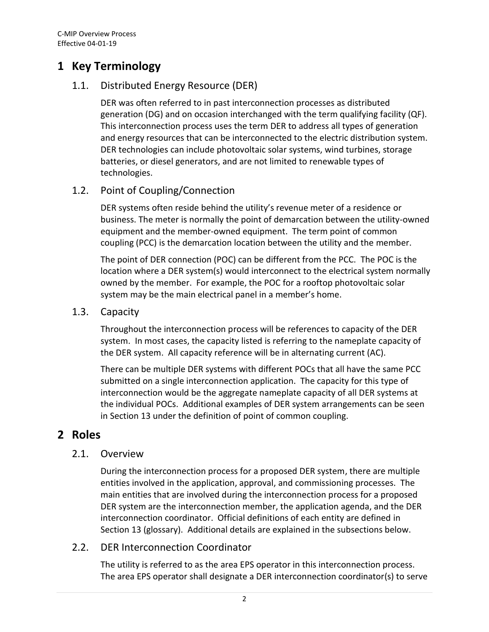## **1 Key Terminology**

### 1.1. Distributed Energy Resource (DER)

DER was often referred to in past interconnection processes as distributed generation (DG) and on occasion interchanged with the term qualifying facility (QF). This interconnection process uses the term DER to address all types of generation and energy resources that can be interconnected to the electric distribution system. DER technologies can include photovoltaic solar systems, wind turbines, storage batteries, or diesel generators, and are not limited to renewable types of technologies.

### 1.2. Point of Coupling/Connection

DER systems often reside behind the utility's revenue meter of a residence or business. The meter is normally the point of demarcation between the utility-owned equipment and the member-owned equipment. The term point of common coupling (PCC) is the demarcation location between the utility and the member.

The point of DER connection (POC) can be different from the PCC. The POC is the location where a DER system(s) would interconnect to the electrical system normally owned by the member. For example, the POC for a rooftop photovoltaic solar system may be the main electrical panel in a member's home.

### 1.3. Capacity

Throughout the interconnection process will be references to capacity of the DER system. In most cases, the capacity listed is referring to the nameplate capacity of the DER system. All capacity reference will be in alternating current (AC).

There can be multiple DER systems with different POCs that all have the same PCC submitted on a single interconnection application. The capacity for this type of interconnection would be the aggregate nameplate capacity of all DER systems at the individual POCs. Additional examples of DER system arrangements can be seen in Section [13](#page-18-0) under the definition of point of common coupling.

### **2 Roles**

### 2.1. Overview

During the interconnection process for a proposed DER system, there are multiple entities involved in the application, approval, and commissioning processes. The main entities that are involved during the interconnection process for a proposed DER system are the interconnection member, the application agenda, and the DER interconnection coordinator. Official definitions of each entity are defined in Sectio[n 13](#page-18-0) (glossary). Additional details are explained in the subsections below.

### 2.2. DER Interconnection Coordinator

The utility is referred to as the area EPS operator in this interconnection process. The area EPS operator shall designate a DER interconnection coordinator(s) to serve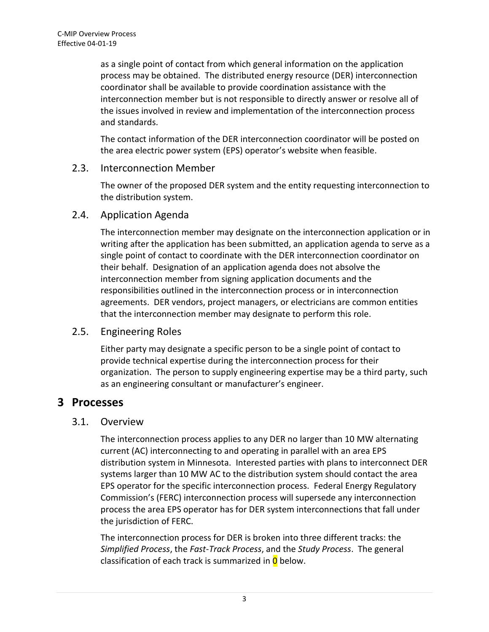as a single point of contact from which general information on the application process may be obtained. The distributed energy resource (DER) interconnection coordinator shall be available to provide coordination assistance with the interconnection member but is not responsible to directly answer or resolve all of the issues involved in review and implementation of the interconnection process and standards.

The contact information of the DER interconnection coordinator will be posted on the area electric power system (EPS) operator's website when feasible.

### 2.3. Interconnection Member

The owner of the proposed DER system and the entity requesting interconnection to the distribution system.

### 2.4. Application Agenda

The interconnection member may designate on the interconnection application or in writing after the application has been submitted, an application agenda to serve as a single point of contact to coordinate with the DER interconnection coordinator on their behalf. Designation of an application agenda does not absolve the interconnection member from signing application documents and the responsibilities outlined in the interconnection process or in interconnection agreements. DER vendors, project managers, or electricians are common entities that the interconnection member may designate to perform this role.

### 2.5. Engineering Roles

Either party may designate a specific person to be a single point of contact to provide technical expertise during the interconnection process for their organization. The person to supply engineering expertise may be a third party, such as an engineering consultant or manufacturer's engineer.

### **3 Processes**

### 3.1. Overview

The interconnection process applies to any DER no larger than 10 MW alternating current (AC) interconnecting to and operating in parallel with an area EPS distribution system in Minnesota. Interested parties with plans to interconnect DER systems larger than 10 MW AC to the distribution system should contact the area EPS operator for the specific interconnection process. Federal Energy Regulatory Commission's (FERC) interconnection process will supersede any interconnection process the area EPS operator has for DER system interconnections that fall under the jurisdiction of FERC.

The interconnection process for DER is broken into three different tracks: the *Simplified Process*, the *Fast-Track Process*, and the *Study Process*. The general classification of each track is summarized in  $\overline{0}$  $\overline{0}$  $\overline{0}$  below.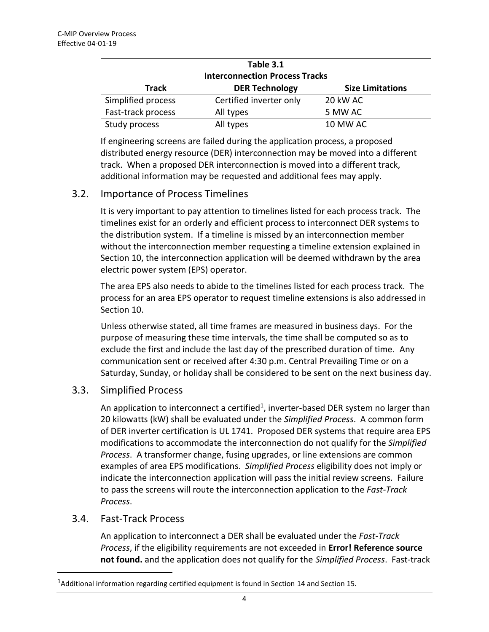<span id="page-5-0"></span>

| Table 3.1                             |                         |                         |  |  |
|---------------------------------------|-------------------------|-------------------------|--|--|
| <b>Interconnection Process Tracks</b> |                         |                         |  |  |
| <b>Track</b>                          | <b>DER Technology</b>   | <b>Size Limitations</b> |  |  |
| Simplified process                    | Certified inverter only | 20 kW AC                |  |  |
| Fast-track process                    | All types               | 5 MW AC                 |  |  |
| Study process                         | All types               | 10 MW AC                |  |  |

If engineering screens are failed during the application process, a proposed distributed energy resource (DER) interconnection may be moved into a different track. When a proposed DER interconnection is moved into a different track, additional information may be requested and additional fees may apply.

### 3.2. Importance of Process Timelines

It is very important to pay attention to timelines listed for each process track. The timelines exist for an orderly and efficient process to interconnect DER systems to the distribution system. If a timeline is missed by an interconnection member without the interconnection member requesting a timeline extension explained in Sectio[n 10,](#page-14-0) the interconnection application will be deemed withdrawn by the area electric power system (EPS) operator.

The area EPS also needs to abide to the timelines listed for each process track. The process for an area EPS operator to request timeline extensions is also addressed in Sectio[n 10.](#page-14-0)

Unless otherwise stated, all time frames are measured in business days. For the purpose of measuring these time intervals, the time shall be computed so as to exclude the first and include the last day of the prescribed duration of time. Any communication sent or received after 4:30 p.m. Central Prevailing Time or on a Saturday, Sunday, or holiday shall be considered to be sent on the next business day.

### 3.3. Simplified Process

An application to interconnect a certified<sup>1</sup>, inverter-based DER system no larger than 20 kilowatts (kW) shall be evaluated under the *Simplified Process*. A common form of DER inverter certification is UL 1741. Proposed DER systems that require area EPS modifications to accommodate the interconnection do not qualify for the *Simplified Process*. A transformer change, fusing upgrades, or line extensions are common examples of area EPS modifications. *Simplified Process* eligibility does not imply or indicate the interconnection application will pass the initial review screens. Failure to pass the screens will route the interconnection application to the *Fast-Track Process*.

#### <span id="page-5-1"></span>3.4. Fast-Track Process

 $\overline{a}$ 

An application to interconnect a DER shall be evaluated under the *Fast-Track Process*, if the eligibility requirements are not exceeded in **Error! Reference source not found.** and the application does not qualify for the *Simplified Process*. Fast-track

<sup>&</sup>lt;sup>1</sup>Additional information regarding certified equipment is found in Section 14 and Section 15.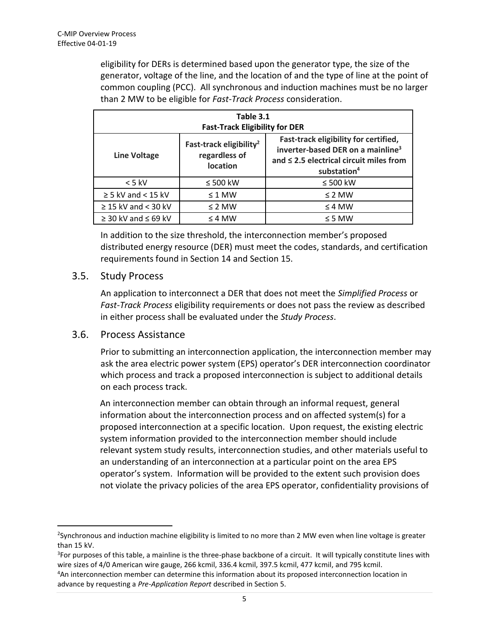eligibility for DERs is determined based upon the generator type, the size of the generator, voltage of the line, and the location of and the type of line at the point of common coupling (PCC). All synchronous and induction machines must be no larger than 2 MW to be eligible for *Fast-Track Process* consideration.

| Table 3.1<br><b>Fast-Track Eligibility for DER</b> |                                                                  |                                                                                                                                                                   |  |  |
|----------------------------------------------------|------------------------------------------------------------------|-------------------------------------------------------------------------------------------------------------------------------------------------------------------|--|--|
| <b>Line Voltage</b>                                | Fast-track eligibility <sup>2</sup><br>regardless of<br>location | Fast-track eligibility for certified,<br>inverter-based DER on a mainline <sup>3</sup><br>and $\leq$ 2.5 electrical circuit miles from<br>substation <sup>4</sup> |  |  |
| $< 5$ kV                                           | $\leq 500$ kW                                                    | $\leq 500$ kW                                                                                                                                                     |  |  |
| $\geq$ 5 kV and < 15 kV                            | $\leq$ 1 MW                                                      | $\leq$ 2 MW                                                                                                                                                       |  |  |
| $\geq$ 15 kV and < 30 kV                           | $\leq$ 2 MW                                                      | $\leq$ 4 MW                                                                                                                                                       |  |  |
| $\geq$ 30 kV and $\leq$ 69 kV                      | $\leq 4$ MW                                                      | $\leq$ 5 MW                                                                                                                                                       |  |  |

In addition to the size threshold, the interconnection member's proposed distributed energy resource (DER) must meet the codes, standards, and certification requirements found in Section 14 and Section 15.

#### 3.5. Study Process

An application to interconnect a DER that does not meet the *Simplified Process* or *Fast-Track Process* eligibility requirements or does not pass the review as described in either process shall be evaluated under the *Study Process*.

#### 3.6. Process Assistance

 $\overline{a}$ 

Prior to submitting an interconnection application, the interconnection member may ask the area electric power system (EPS) operator's DER interconnection coordinator which process and track a proposed interconnection is subject to additional details on each process track.

An interconnection member can obtain through an informal request, general information about the interconnection process and on affected system(s) for a proposed interconnection at a specific location. Upon request, the existing electric system information provided to the interconnection member should include relevant system study results, interconnection studies, and other materials useful to an understanding of an interconnection at a particular point on the area EPS operator's system. Information will be provided to the extent such provision does not violate the privacy policies of the area EPS operator, confidentiality provisions of

<sup>2</sup> Synchronous and induction machine eligibility is limited to no more than 2 MW even when line voltage is greater than 15 kV.

<sup>&</sup>lt;sup>3</sup>For purposes of this table, a mainline is the three-phase backbone of a circuit. It will typically constitute lines with wire sizes of 4/0 American wire gauge, 266 kcmil, 336.4 kcmil, 397.5 kcmil, 477 kcmil, and 795 kcmil. <sup>4</sup>An interconnection member can determine this information about its proposed interconnection location in

advance by requesting a *Pre-Application Report* described in Section [5.](#page-9-0)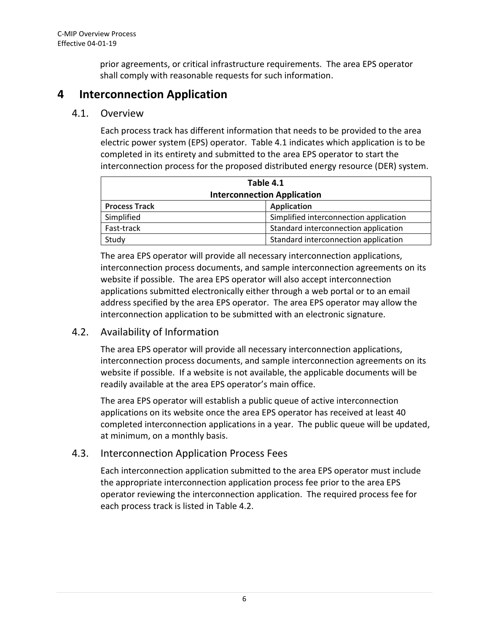prior agreements, or critical infrastructure requirements. The area EPS operator shall comply with reasonable requests for such information.

### <span id="page-7-0"></span>**4 Interconnection Application**

#### 4.1. Overview

Each process track has different information that needs to be provided to the area electric power system (EPS) operator. Table 4.1 indicates which application is to be completed in its entirety and submitted to the area EPS operator to start the interconnection process for the proposed distributed energy resource (DER) system.

| Table 4.1                          |                                        |  |  |
|------------------------------------|----------------------------------------|--|--|
| <b>Interconnection Application</b> |                                        |  |  |
| <b>Process Track</b>               | <b>Application</b>                     |  |  |
| Simplified                         | Simplified interconnection application |  |  |
| Fast-track                         | Standard interconnection application   |  |  |
| Study                              | Standard interconnection application   |  |  |

The area EPS operator will provide all necessary interconnection applications, interconnection process documents, and sample interconnection agreements on its website if possible. The area EPS operator will also accept interconnection applications submitted electronically either through a web portal or to an email address specified by the area EPS operator. The area EPS operator may allow the interconnection application to be submitted with an electronic signature.

### 4.2. Availability of Information

The area EPS operator will provide all necessary interconnection applications, interconnection process documents, and sample interconnection agreements on its website if possible. If a website is not available, the applicable documents will be readily available at the area EPS operator's main office.

The area EPS operator will establish a public queue of active interconnection applications on its website once the area EPS operator has received at least 40 completed interconnection applications in a year. The public queue will be updated, at minimum, on a monthly basis.

### 4.3. Interconnection Application Process Fees

Each interconnection application submitted to the area EPS operator must include the appropriate interconnection application process fee prior to the area EPS operator reviewing the interconnection application. The required process fee for each process track is listed in Table 4.2.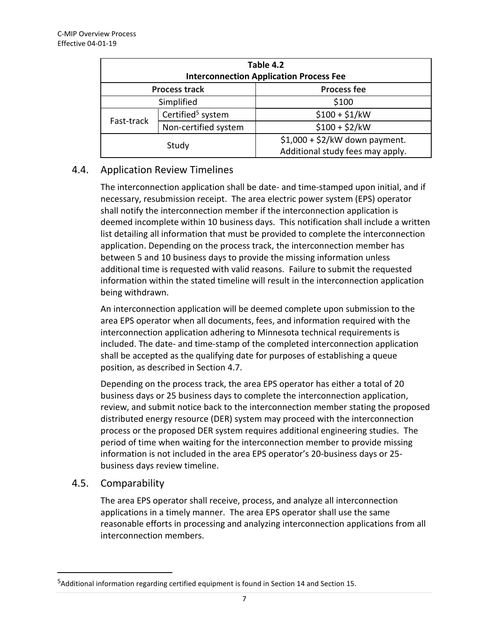| Table 4.2<br><b>Interconnection Application Process Fee</b> |                               |                                  |  |  |
|-------------------------------------------------------------|-------------------------------|----------------------------------|--|--|
| <b>Process track</b>                                        |                               | <b>Process fee</b>               |  |  |
| Simplified                                                  |                               | \$100                            |  |  |
| Fast-track                                                  | Certified <sup>5</sup> system | $$100 + $1/kW$                   |  |  |
|                                                             | Non-certified system          | $$100 + $2/kW$                   |  |  |
| Study                                                       |                               | $$1,000 + $2/kW$ down payment.   |  |  |
|                                                             |                               | Additional study fees may apply. |  |  |

### 4.4. Application Review Timelines

The interconnection application shall be date- and time-stamped upon initial, and if necessary, resubmission receipt. The area electric power system (EPS) operator shall notify the interconnection member if the interconnection application is deemed incomplete within 10 business days. This notification shall include a written list detailing all information that must be provided to complete the interconnection application. Depending on the process track, the interconnection member has between 5 and 10 business days to provide the missing information unless additional time is requested with valid reasons. Failure to submit the requested information within the stated timeline will result in the interconnection application being withdrawn.

An interconnection application will be deemed complete upon submission to the area EPS operator when all documents, fees, and information required with the interconnection application adhering to Minnesota technical requirements is included. The date- and time-stamp of the completed interconnection application shall be accepted as the qualifying date for purposes of establishing a queue position, as described in Section [4.7.](#page-9-1)

Depending on the process track, the area EPS operator has either a total of 20 business days or 25 business days to complete the interconnection application, review, and submit notice back to the interconnection member stating the proposed distributed energy resource (DER) system may proceed with the interconnection process or the proposed DER system requires additional engineering studies. The period of time when waiting for the interconnection member to provide missing information is not included in the area EPS operator's 20-business days or 25 business days review timeline.

### 4.5. Comparability

 $\overline{a}$ 

The area EPS operator shall receive, process, and analyze all interconnection applications in a timely manner. The area EPS operator shall use the same reasonable efforts in processing and analyzing interconnection applications from all interconnection members.

<sup>&</sup>lt;sup>5</sup>Additional information regarding certified equipment is found in Section 14 and Section 15.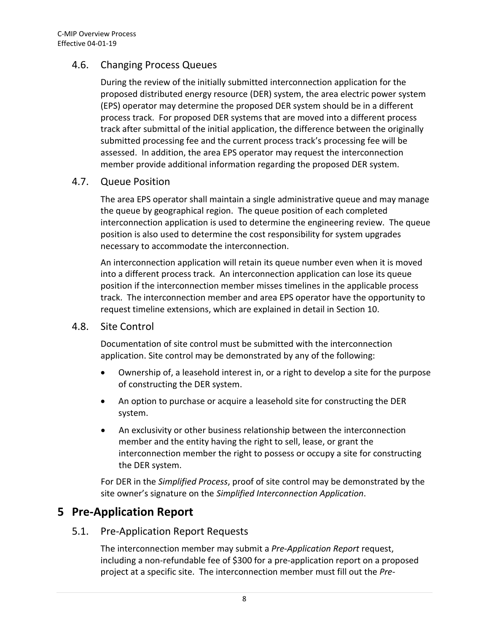### 4.6. Changing Process Queues

During the review of the initially submitted interconnection application for the proposed distributed energy resource (DER) system, the area electric power system (EPS) operator may determine the proposed DER system should be in a different process track. For proposed DER systems that are moved into a different process track after submittal of the initial application, the difference between the originally submitted processing fee and the current process track's processing fee will be assessed. In addition, the area EPS operator may request the interconnection member provide additional information regarding the proposed DER system.

#### <span id="page-9-1"></span>4.7. Queue Position

The area EPS operator shall maintain a single administrative queue and may manage the queue by geographical region. The queue position of each completed interconnection application is used to determine the engineering review. The queue position is also used to determine the cost responsibility for system upgrades necessary to accommodate the interconnection.

An interconnection application will retain its queue number even when it is moved into a different process track. An interconnection application can lose its queue position if the interconnection member misses timelines in the applicable process track. The interconnection member and area EPS operator have the opportunity to request timeline extensions, which are explained in detail in Section [10.](#page-14-0)

### 4.8. Site Control

Documentation of site control must be submitted with the interconnection application. Site control may be demonstrated by any of the following:

- Ownership of, a leasehold interest in, or a right to develop a site for the purpose of constructing the DER system.
- An option to purchase or acquire a leasehold site for constructing the DER system.
- An exclusivity or other business relationship between the interconnection member and the entity having the right to sell, lease, or grant the interconnection member the right to possess or occupy a site for constructing the DER system.

For DER in the *Simplified Process*, proof of site control may be demonstrated by the site owner's signature on the *Simplified Interconnection Application*.

### <span id="page-9-0"></span>**5 Pre-Application Report**

### 5.1. Pre-Application Report Requests

The interconnection member may submit a *Pre-Application Report* request, including a non-refundable fee of \$300 for a pre-application report on a proposed project at a specific site. The interconnection member must fill out the *Pre-*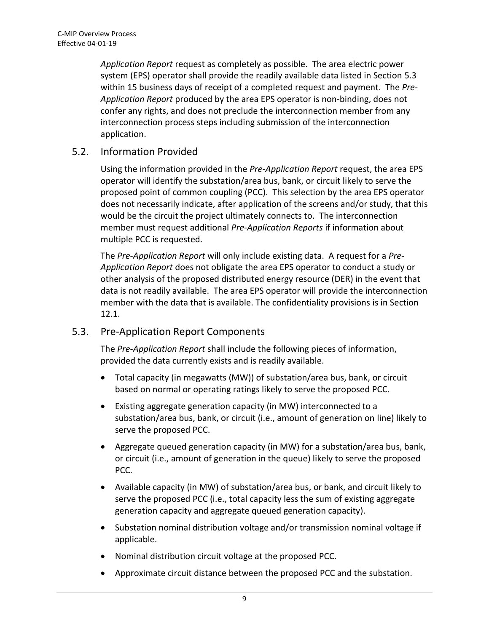*Application Report* request as completely as possible. The area electric power system (EPS) operator shall provide the readily available data listed in Section [5.3](#page-10-0) within 15 business days of receipt of a completed request and payment. The *Pre-Application Report* produced by the area EPS operator is non-binding, does not confer any rights, and does not preclude the interconnection member from any interconnection process steps including submission of the interconnection application.

### 5.2. Information Provided

Using the information provided in the *Pre-Application Report* request, the area EPS operator will identify the substation/area bus, bank, or circuit likely to serve the proposed point of common coupling (PCC). This selection by the area EPS operator does not necessarily indicate, after application of the screens and/or study, that this would be the circuit the project ultimately connects to. The interconnection member must request additional *Pre-Application Reports* if information about multiple PCC is requested.

The *Pre-Application Report* will only include existing data. A request for a *Pre-Application Report* does not obligate the area EPS operator to conduct a study or other analysis of the proposed distributed energy resource (DER) in the event that data is not readily available. The area EPS operator will provide the interconnection member with the data that is available. The confidentiality provisions is in Section 12.1.

### <span id="page-10-0"></span>5.3. Pre-Application Report Components

The *Pre-Application Report* shall include the following pieces of information, provided the data currently exists and is readily available.

- Total capacity (in megawatts (MW)) of substation/area bus, bank, or circuit based on normal or operating ratings likely to serve the proposed PCC.
- Existing aggregate generation capacity (in MW) interconnected to a substation/area bus, bank, or circuit (i.e., amount of generation on line) likely to serve the proposed PCC.
- Aggregate queued generation capacity (in MW) for a substation/area bus, bank, or circuit (i.e., amount of generation in the queue) likely to serve the proposed PCC.
- Available capacity (in MW) of substation/area bus, or bank, and circuit likely to serve the proposed PCC (i.e., total capacity less the sum of existing aggregate generation capacity and aggregate queued generation capacity).
- Substation nominal distribution voltage and/or transmission nominal voltage if applicable.
- Nominal distribution circuit voltage at the proposed PCC.
- Approximate circuit distance between the proposed PCC and the substation.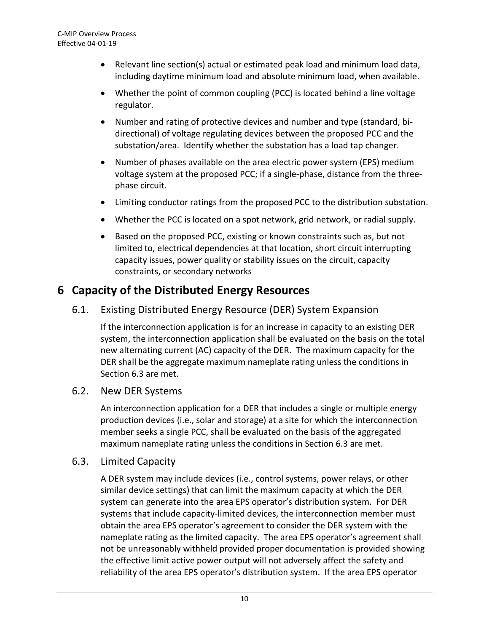- Relevant line section(s) actual or estimated peak load and minimum load data, including daytime minimum load and absolute minimum load, when available.
- Whether the point of common coupling (PCC) is located behind a line voltage regulator.
- Number and rating of protective devices and number and type (standard, bidirectional) of voltage regulating devices between the proposed PCC and the substation/area. Identify whether the substation has a load tap changer.
- Number of phases available on the area electric power system (EPS) medium voltage system at the proposed PCC; if a single-phase, distance from the threephase circuit.
- Limiting conductor ratings from the proposed PCC to the distribution substation.
- Whether the PCC is located on a spot network, grid network, or radial supply.
- Based on the proposed PCC, existing or known constraints such as, but not limited to, electrical dependencies at that location, short circuit interrupting capacity issues, power quality or stability issues on the circuit, capacity constraints, or secondary networks

### **6 Capacity of the Distributed Energy Resources**

6.1. Existing Distributed Energy Resource (DER) System Expansion

If the interconnection application is for an increase in capacity to an existing DER system, the interconnection application shall be evaluated on the basis on the total new alternating current (AC) capacity of the DER. The maximum capacity for the DER shall be the aggregate maximum nameplate rating unless the conditions in Sectio[n 6.3](#page-11-0) are met.

### 6.2. New DER Systems

An interconnection application for a DER that includes a single or multiple energy production devices (i.e., solar and storage) at a site for which the interconnection member seeks a single PCC, shall be evaluated on the basis of the aggregated maximum nameplate rating unless the conditions in Section [6.3](#page-11-0) are met.

#### <span id="page-11-0"></span>6.3. Limited Capacity

A DER system may include devices (i.e., control systems, power relays, or other similar device settings) that can limit the maximum capacity at which the DER system can generate into the area EPS operator's distribution system. For DER systems that include capacity-limited devices, the interconnection member must obtain the area EPS operator's agreement to consider the DER system with the nameplate rating as the limited capacity. The area EPS operator's agreement shall not be unreasonably withheld provided proper documentation is provided showing the effective limit active power output will not adversely affect the safety and reliability of the area EPS operator's distribution system. If the area EPS operator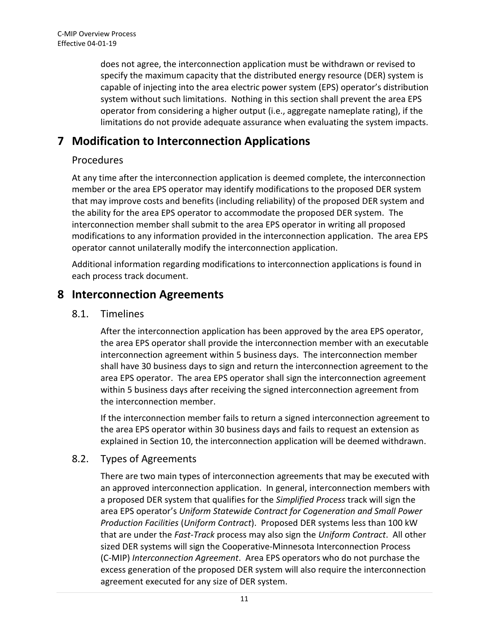does not agree, the interconnection application must be withdrawn or revised to specify the maximum capacity that the distributed energy resource (DER) system is capable of injecting into the area electric power system (EPS) operator's distribution system without such limitations. Nothing in this section shall prevent the area EPS operator from considering a higher output (i.e., aggregate nameplate rating), if the limitations do not provide adequate assurance when evaluating the system impacts.

# **7 Modification to Interconnection Applications**

### Procedures

At any time after the interconnection application is deemed complete, the interconnection member or the area EPS operator may identify modifications to the proposed DER system that may improve costs and benefits (including reliability) of the proposed DER system and the ability for the area EPS operator to accommodate the proposed DER system. The interconnection member shall submit to the area EPS operator in writing all proposed modifications to any information provided in the interconnection application. The area EPS operator cannot unilaterally modify the interconnection application.

Additional information regarding modifications to interconnection applications is found in each process track document.

### <span id="page-12-0"></span>**8 Interconnection Agreements**

### 8.1. Timelines

After the interconnection application has been approved by the area EPS operator, the area EPS operator shall provide the interconnection member with an executable interconnection agreement within 5 business days. The interconnection member shall have 30 business days to sign and return the interconnection agreement to the area EPS operator. The area EPS operator shall sign the interconnection agreement within 5 business days after receiving the signed interconnection agreement from the interconnection member.

If the interconnection member fails to return a signed interconnection agreement to the area EPS operator within 30 business days and fails to request an extension as explained in Section [10,](#page-14-0) the interconnection application will be deemed withdrawn.

### 8.2. Types of Agreements

There are two main types of interconnection agreements that may be executed with an approved interconnection application. In general, interconnection members with a proposed DER system that qualifies for the *Simplified Process* track will sign the area EPS operator's *Uniform Statewide Contract for Cogeneration and Small Power Production Facilities* (*Uniform Contract*). Proposed DER systems less than 100 kW that are under the *Fast-Track* process may also sign the *Uniform Contract*. All other sized DER systems will sign the Cooperative-Minnesota Interconnection Process (C-MIP) *Interconnection Agreement*. Area EPS operators who do not purchase the excess generation of the proposed DER system will also require the interconnection agreement executed for any size of DER system.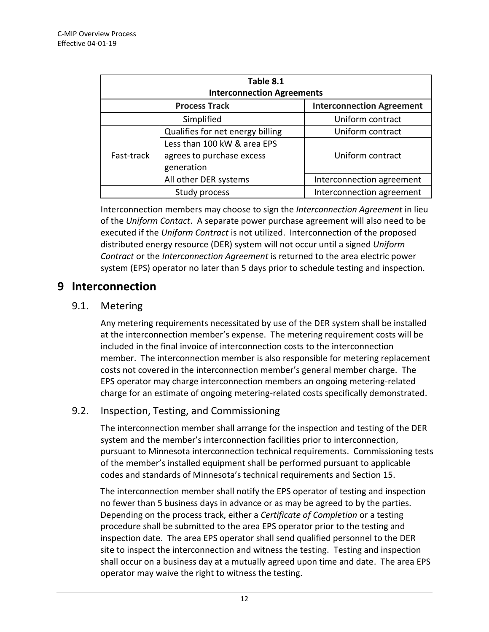| Table 8.1<br><b>Interconnection Agreements</b> |                                  |                                  |  |  |
|------------------------------------------------|----------------------------------|----------------------------------|--|--|
| <b>Process Track</b>                           |                                  | <b>Interconnection Agreement</b> |  |  |
| Simplified                                     |                                  | Uniform contract                 |  |  |
| Fast-track                                     | Qualifies for net energy billing | Uniform contract                 |  |  |
|                                                | Less than 100 kW & area EPS      |                                  |  |  |
|                                                | agrees to purchase excess        | Uniform contract                 |  |  |
|                                                | generation                       |                                  |  |  |
|                                                | All other DER systems            | Interconnection agreement        |  |  |
| Study process                                  |                                  | Interconnection agreement        |  |  |

Interconnection members may choose to sign the *Interconnection Agreement* in lieu of the *Uniform Contact*. A separate power purchase agreement will also need to be executed if the *Uniform Contract* is not utilized. Interconnection of the proposed distributed energy resource (DER) system will not occur until a signed *Uniform Contract* or the *Interconnection Agreement* is returned to the area electric power system (EPS) operator no later than 5 days prior to schedule testing and inspection.

### **9 Interconnection**

### 9.1. Metering

Any metering requirements necessitated by use of the DER system shall be installed at the interconnection member's expense. The metering requirement costs will be included in the final invoice of interconnection costs to the interconnection member. The interconnection member is also responsible for metering replacement costs not covered in the interconnection member's general member charge. The EPS operator may charge interconnection members an ongoing metering-related charge for an estimate of ongoing metering-related costs specifically demonstrated.

### 9.2. Inspection, Testing, and Commissioning

The interconnection member shall arrange for the inspection and testing of the DER system and the member's interconnection facilities prior to interconnection, pursuant to Minnesota interconnection technical requirements. Commissioning tests of the member's installed equipment shall be performed pursuant to applicable codes and standards of Minnesota's technical requirements and Section [15.](#page-24-0)

The interconnection member shall notify the EPS operator of testing and inspection no fewer than 5 business days in advance or as may be agreed to by the parties. Depending on the process track, either a *Certificate of Completion* or a testing procedure shall be submitted to the area EPS operator prior to the testing and inspection date. The area EPS operator shall send qualified personnel to the DER site to inspect the interconnection and witness the testing. Testing and inspection shall occur on a business day at a mutually agreed upon time and date. The area EPS operator may waive the right to witness the testing.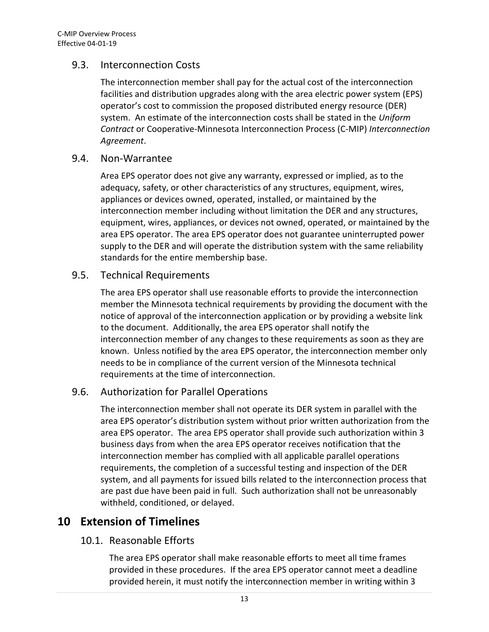### 9.3. Interconnection Costs

The interconnection member shall pay for the actual cost of the interconnection facilities and distribution upgrades along with the area electric power system (EPS) operator's cost to commission the proposed distributed energy resource (DER) system. An estimate of the interconnection costs shall be stated in the *Uniform Contract* or Cooperative-Minnesota Interconnection Process (C-MIP) *Interconnection Agreement*.

#### 9.4. Non-Warrantee

Area EPS operator does not give any warranty, expressed or implied, as to the adequacy, safety, or other characteristics of any structures, equipment, wires, appliances or devices owned, operated, installed, or maintained by the interconnection member including without limitation the DER and any structures, equipment, wires, appliances, or devices not owned, operated, or maintained by the area EPS operator. The area EPS operator does not guarantee uninterrupted power supply to the DER and will operate the distribution system with the same reliability standards for the entire membership base.

#### 9.5. Technical Requirements

The area EPS operator shall use reasonable efforts to provide the interconnection member the Minnesota technical requirements by providing the document with the notice of approval of the interconnection application or by providing a website link to the document. Additionally, the area EPS operator shall notify the interconnection member of any changes to these requirements as soon as they are known. Unless notified by the area EPS operator, the interconnection member only needs to be in compliance of the current version of the Minnesota technical requirements at the time of interconnection.

### 9.6. Authorization for Parallel Operations

The interconnection member shall not operate its DER system in parallel with the area EPS operator's distribution system without prior written authorization from the area EPS operator. The area EPS operator shall provide such authorization within 3 business days from when the area EPS operator receives notification that the interconnection member has complied with all applicable parallel operations requirements, the completion of a successful testing and inspection of the DER system, and all payments for issued bills related to the interconnection process that are past due have been paid in full. Such authorization shall not be unreasonably withheld, conditioned, or delayed.

### <span id="page-14-0"></span>**10 Extension of Timelines**

### 10.1. Reasonable Efforts

The area EPS operator shall make reasonable efforts to meet all time frames provided in these procedures. If the area EPS operator cannot meet a deadline provided herein, it must notify the interconnection member in writing within 3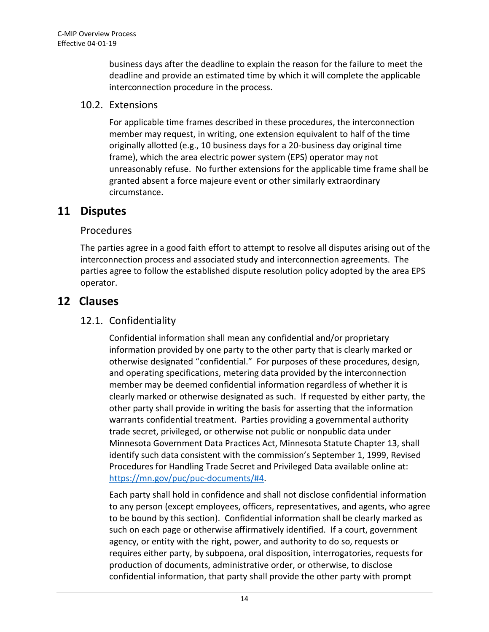business days after the deadline to explain the reason for the failure to meet the deadline and provide an estimated time by which it will complete the applicable interconnection procedure in the process.

### 10.2. Extensions

For applicable time frames described in these procedures, the interconnection member may request, in writing, one extension equivalent to half of the time originally allotted (e.g., 10 business days for a 20-business day original time frame), which the area electric power system (EPS) operator may not unreasonably refuse. No further extensions for the applicable time frame shall be granted absent a force majeure event or other similarly extraordinary circumstance.

### **11 Disputes**

### Procedures

The parties agree in a good faith effort to attempt to resolve all disputes arising out of the interconnection process and associated study and interconnection agreements. The parties agree to follow the established dispute resolution policy adopted by the area EPS operator.

### <span id="page-15-0"></span>**12 Clauses**

### 12.1. Confidentiality

Confidential information shall mean any confidential and/or proprietary information provided by one party to the other party that is clearly marked or otherwise designated "confidential." For purposes of these procedures, design, and operating specifications, metering data provided by the interconnection member may be deemed confidential information regardless of whether it is clearly marked or otherwise designated as such. If requested by either party, the other party shall provide in writing the basis for asserting that the information warrants confidential treatment. Parties providing a governmental authority trade secret, privileged, or otherwise not public or nonpublic data under Minnesota Government Data Practices Act, Minnesota Statute Chapter 13, shall identify such data consistent with the commission's September 1, 1999, Revised Procedures for Handling Trade Secret and Privileged Data available online at: [https://mn.gov/puc/puc-documents/#4.](https://mn.gov/puc/puc-documents/#4)

Each party shall hold in confidence and shall not disclose confidential information to any person (except employees, officers, representatives, and agents, who agree to be bound by this section). Confidential information shall be clearly marked as such on each page or otherwise affirmatively identified. If a court, government agency, or entity with the right, power, and authority to do so, requests or requires either party, by subpoena, oral disposition, interrogatories, requests for production of documents, administrative order, or otherwise, to disclose confidential information, that party shall provide the other party with prompt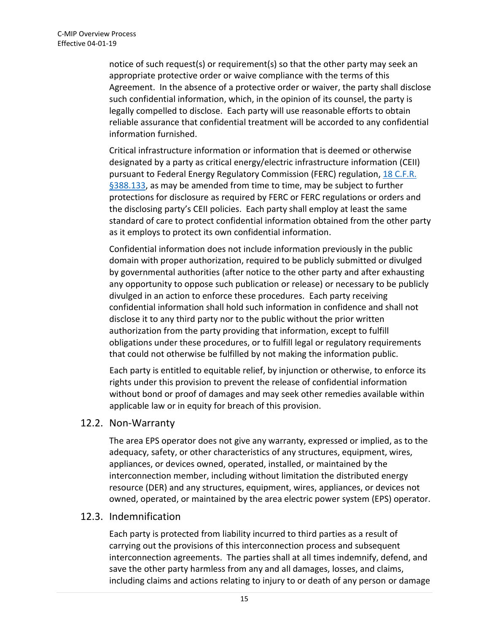notice of such request(s) or requirement(s) so that the other party may seek an appropriate protective order or waive compliance with the terms of this Agreement. In the absence of a protective order or waiver, the party shall disclose such confidential information, which, in the opinion of its counsel, the party is legally compelled to disclose. Each party will use reasonable efforts to obtain reliable assurance that confidential treatment will be accorded to any confidential information furnished.

Critical infrastructure information or information that is deemed or otherwise designated by a party as critical energy/electric infrastructure information (CEII) pursuant to Federal Energy Regulatory Commission (FERC) regulation, [18 C.F.R.](https://www.gpo.gov/fdsys/pkg/CFR-2012-title18-vol1/pdf/CFR-2012-title18-vol1-sec388-113.pdf)  [§388.133,](https://www.gpo.gov/fdsys/pkg/CFR-2012-title18-vol1/pdf/CFR-2012-title18-vol1-sec388-113.pdf) as may be amended from time to time, may be subject to further protections for disclosure as required by FERC or FERC regulations or orders and the disclosing party's CEII policies. Each party shall employ at least the same standard of care to protect confidential information obtained from the other party as it employs to protect its own confidential information.

Confidential information does not include information previously in the public domain with proper authorization, required to be publicly submitted or divulged by governmental authorities (after notice to the other party and after exhausting any opportunity to oppose such publication or release) or necessary to be publicly divulged in an action to enforce these procedures. Each party receiving confidential information shall hold such information in confidence and shall not disclose it to any third party nor to the public without the prior written authorization from the party providing that information, except to fulfill obligations under these procedures, or to fulfill legal or regulatory requirements that could not otherwise be fulfilled by not making the information public.

Each party is entitled to equitable relief, by injunction or otherwise, to enforce its rights under this provision to prevent the release of confidential information without bond or proof of damages and may seek other remedies available within applicable law or in equity for breach of this provision.

#### 12.2. Non-Warranty

The area EPS operator does not give any warranty, expressed or implied, as to the adequacy, safety, or other characteristics of any structures, equipment, wires, appliances, or devices owned, operated, installed, or maintained by the interconnection member, including without limitation the distributed energy resource (DER) and any structures, equipment, wires, appliances, or devices not owned, operated, or maintained by the area electric power system (EPS) operator.

#### <span id="page-16-0"></span>12.3. Indemnification

Each party is protected from liability incurred to third parties as a result of carrying out the provisions of this interconnection process and subsequent interconnection agreements. The parties shall at all times indemnify, defend, and save the other party harmless from any and all damages, losses, and claims, including claims and actions relating to injury to or death of any person or damage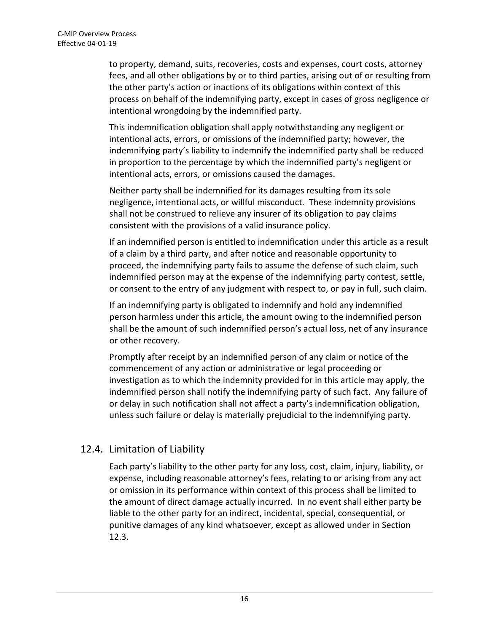to property, demand, suits, recoveries, costs and expenses, court costs, attorney fees, and all other obligations by or to third parties, arising out of or resulting from the other party's action or inactions of its obligations within context of this process on behalf of the indemnifying party, except in cases of gross negligence or intentional wrongdoing by the indemnified party.

This indemnification obligation shall apply notwithstanding any negligent or intentional acts, errors, or omissions of the indemnified party; however, the indemnifying party's liability to indemnify the indemnified party shall be reduced in proportion to the percentage by which the indemnified party's negligent or intentional acts, errors, or omissions caused the damages.

Neither party shall be indemnified for its damages resulting from its sole negligence, intentional acts, or willful misconduct. These indemnity provisions shall not be construed to relieve any insurer of its obligation to pay claims consistent with the provisions of a valid insurance policy.

If an indemnified person is entitled to indemnification under this article as a result of a claim by a third party, and after notice and reasonable opportunity to proceed, the indemnifying party fails to assume the defense of such claim, such indemnified person may at the expense of the indemnifying party contest, settle, or consent to the entry of any judgment with respect to, or pay in full, such claim.

If an indemnifying party is obligated to indemnify and hold any indemnified person harmless under this article, the amount owing to the indemnified person shall be the amount of such indemnified person's actual loss, net of any insurance or other recovery.

Promptly after receipt by an indemnified person of any claim or notice of the commencement of any action or administrative or legal proceeding or investigation as to which the indemnity provided for in this article may apply, the indemnified person shall notify the indemnifying party of such fact. Any failure of or delay in such notification shall not affect a party's indemnification obligation, unless such failure or delay is materially prejudicial to the indemnifying party.

### 12.4. Limitation of Liability

Each party's liability to the other party for any loss, cost, claim, injury, liability, or expense, including reasonable attorney's fees, relating to or arising from any act or omission in its performance within context of this process shall be limited to the amount of direct damage actually incurred. In no event shall either party be liable to the other party for an indirect, incidental, special, consequential, or punitive damages of any kind whatsoever, except as allowed under in Section [12.3.](#page-16-0)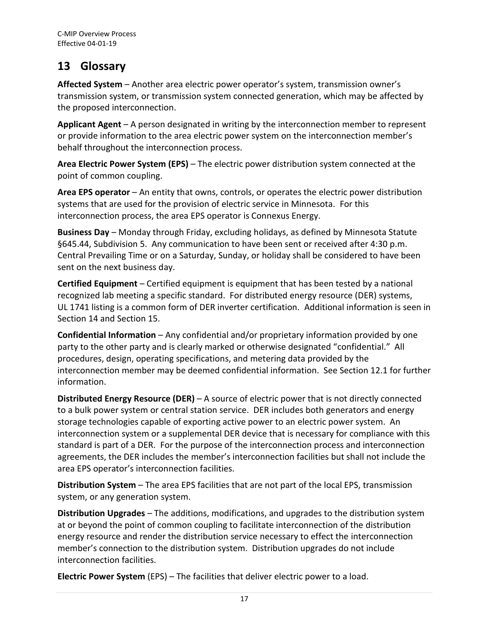# <span id="page-18-0"></span>**13 Glossary**

**Affected System** – Another area electric power operator's system, transmission owner's transmission system, or transmission system connected generation, which may be affected by the proposed interconnection.

**Applicant Agent** – A person designated in writing by the interconnection member to represent or provide information to the area electric power system on the interconnection member's behalf throughout the interconnection process.

**Area Electric Power System (EPS)** – The electric power distribution system connected at the point of common coupling.

**Area EPS operator** – An entity that owns, controls, or operates the electric power distribution systems that are used for the provision of electric service in Minnesota. For this interconnection process, the area EPS operator is Connexus Energy.

**Business Day** – Monday through Friday, excluding holidays, as defined by Minnesota Statute §645.44, Subdivision 5. Any communication to have been sent or received after 4:30 p.m. Central Prevailing Time or on a Saturday, Sunday, or holiday shall be considered to have been sent on the next business day.

**Certified Equipment** – Certified equipment is equipment that has been tested by a national recognized lab meeting a specific standard. For distributed energy resource (DER) systems, UL 1741 listing is a common form of DER inverter certification. Additional information is seen in Section 14 and Section 15.

**Confidential Information** – Any confidential and/or proprietary information provided by one party to the other party and is clearly marked or otherwise designated "confidential." All procedures, design, operating specifications, and metering data provided by the interconnection member may be deemed confidential information. See Section [12.1](#page-15-0) for further information.

**Distributed Energy Resource (DER)** – A source of electric power that is not directly connected to a bulk power system or central station service. DER includes both generators and energy storage technologies capable of exporting active power to an electric power system. An interconnection system or a supplemental DER device that is necessary for compliance with this standard is part of a DER. For the purpose of the interconnection process and interconnection agreements, the DER includes the member's interconnection facilities but shall not include the area EPS operator's interconnection facilities.

**Distribution System** – The area EPS facilities that are not part of the local EPS, transmission system, or any generation system.

**Distribution Upgrades** – The additions, modifications, and upgrades to the distribution system at or beyond the point of common coupling to facilitate interconnection of the distribution energy resource and render the distribution service necessary to effect the interconnection member's connection to the distribution system. Distribution upgrades do not include interconnection facilities.

**Electric Power System** (EPS) – The facilities that deliver electric power to a load.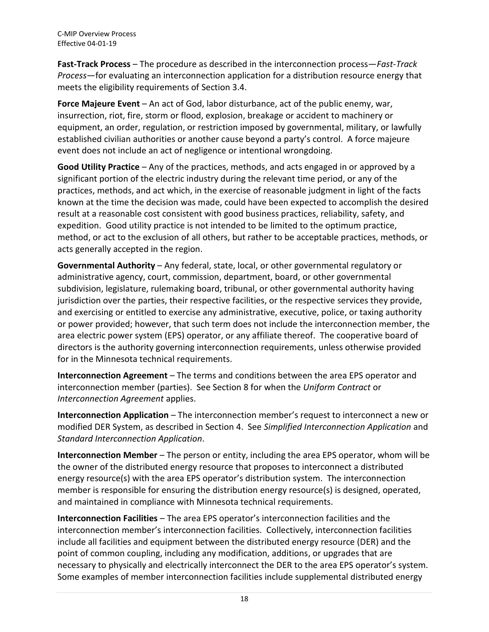**Fast-Track Process** – The procedure as described in the interconnection process—*Fast-Track Process*—for evaluating an interconnection application for a distribution resource energy that meets the eligibility requirements of Section [3.4.](#page-5-1)

**Force Majeure Event** – An act of God, labor disturbance, act of the public enemy, war, insurrection, riot, fire, storm or flood, explosion, breakage or accident to machinery or equipment, an order, regulation, or restriction imposed by governmental, military, or lawfully established civilian authorities or another cause beyond a party's control. A force majeure event does not include an act of negligence or intentional wrongdoing.

**Good Utility Practice** – Any of the practices, methods, and acts engaged in or approved by a significant portion of the electric industry during the relevant time period, or any of the practices, methods, and act which, in the exercise of reasonable judgment in light of the facts known at the time the decision was made, could have been expected to accomplish the desired result at a reasonable cost consistent with good business practices, reliability, safety, and expedition. Good utility practice is not intended to be limited to the optimum practice, method, or act to the exclusion of all others, but rather to be acceptable practices, methods, or acts generally accepted in the region.

**Governmental Authority** – Any federal, state, local, or other governmental regulatory or administrative agency, court, commission, department, board, or other governmental subdivision, legislature, rulemaking board, tribunal, or other governmental authority having jurisdiction over the parties, their respective facilities, or the respective services they provide, and exercising or entitled to exercise any administrative, executive, police, or taxing authority or power provided; however, that such term does not include the interconnection member, the area electric power system (EPS) operator, or any affiliate thereof. The cooperative board of directors is the authority governing interconnection requirements, unless otherwise provided for in the Minnesota technical requirements.

**Interconnection Agreement** – The terms and conditions between the area EPS operator and interconnection member (parties). See Section [8](#page-12-0) for when the *Uniform Contract* or *Interconnection Agreement* applies.

**Interconnection Application** – The interconnection member's request to interconnect a new or modified DER System, as described in Sectio[n 4.](#page-7-0) See *Simplified Interconnection Application* and *Standard Interconnection Application*.

**Interconnection Member** – The person or entity, including the area EPS operator, whom will be the owner of the distributed energy resource that proposes to interconnect a distributed energy resource(s) with the area EPS operator's distribution system. The interconnection member is responsible for ensuring the distribution energy resource(s) is designed, operated, and maintained in compliance with Minnesota technical requirements.

**Interconnection Facilities** – The area EPS operator's interconnection facilities and the interconnection member's interconnection facilities. Collectively, interconnection facilities include all facilities and equipment between the distributed energy resource (DER) and the point of common coupling, including any modification, additions, or upgrades that are necessary to physically and electrically interconnect the DER to the area EPS operator's system. Some examples of member interconnection facilities include supplemental distributed energy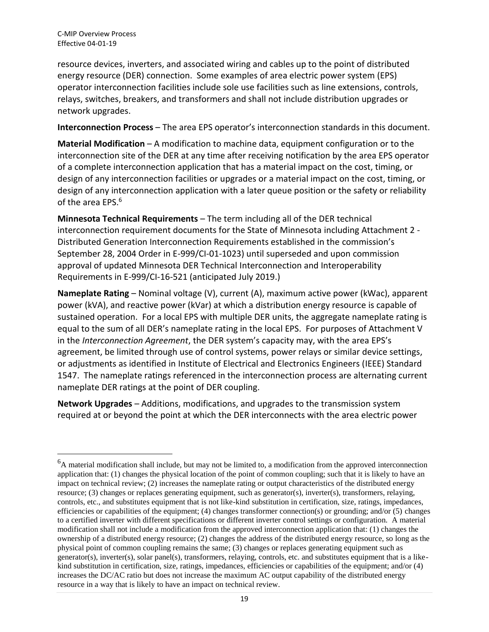$\overline{a}$ 

resource devices, inverters, and associated wiring and cables up to the point of distributed energy resource (DER) connection. Some examples of area electric power system (EPS) operator interconnection facilities include sole use facilities such as line extensions, controls, relays, switches, breakers, and transformers and shall not include distribution upgrades or network upgrades.

**Interconnection Process** – The area EPS operator's interconnection standards in this document.

**Material Modification** – A modification to machine data, equipment configuration or to the interconnection site of the DER at any time after receiving notification by the area EPS operator of a complete interconnection application that has a material impact on the cost, timing, or design of any interconnection facilities or upgrades or a material impact on the cost, timing, or design of any interconnection application with a later queue position or the safety or reliability of the area EPS. 6

**Minnesota Technical Requirements** – The term including all of the DER technical interconnection requirement documents for the State of Minnesota including Attachment 2 - Distributed Generation Interconnection Requirements established in the commission's September 28, 2004 Order in E-999/CI-01-1023) until superseded and upon commission approval of updated Minnesota DER Technical Interconnection and Interoperability Requirements in E-999/CI-16-521 (anticipated July 2019.)

**Nameplate Rating** – Nominal voltage (V), current (A), maximum active power (kWac), apparent power (kVA), and reactive power (kVar) at which a distribution energy resource is capable of sustained operation. For a local EPS with multiple DER units, the aggregate nameplate rating is equal to the sum of all DER's nameplate rating in the local EPS. For purposes of Attachment V in the *Interconnection Agreement*, the DER system's capacity may, with the area EPS's agreement, be limited through use of control systems, power relays or similar device settings, or adjustments as identified in Institute of Electrical and Electronics Engineers (IEEE) Standard 1547. The nameplate ratings referenced in the interconnection process are alternating current nameplate DER ratings at the point of DER coupling.

**Network Upgrades** – Additions, modifications, and upgrades to the transmission system required at or beyond the point at which the DER interconnects with the area electric power

<sup>&</sup>lt;sup>6</sup>A material modification shall include, but may not be limited to, a modification from the approved interconnection application that: (1) changes the physical location of the point of common coupling; such that it is likely to have an impact on technical review; (2) increases the nameplate rating or output characteristics of the distributed energy resource; (3) changes or replaces generating equipment, such as generator(s), inverter(s), transformers, relaying, controls, etc., and substitutes equipment that is not like-kind substitution in certification, size, ratings, impedances, efficiencies or capabilities of the equipment; (4) changes transformer connection(s) or grounding; and/or (5) changes to a certified inverter with different specifications or different inverter control settings or configuration. A material modification shall not include a modification from the approved interconnection application that: (1) changes the ownership of a distributed energy resource; (2) changes the address of the distributed energy resource, so long as the physical point of common coupling remains the same; (3) changes or replaces generating equipment such as generator(s), inverter(s), solar panel(s), transformers, relaying, controls, etc. and substitutes equipment that is a likekind substitution in certification, size, ratings, impedances, efficiencies or capabilities of the equipment; and/or (4) increases the DC/AC ratio but does not increase the maximum AC output capability of the distributed energy resource in a way that is likely to have an impact on technical review.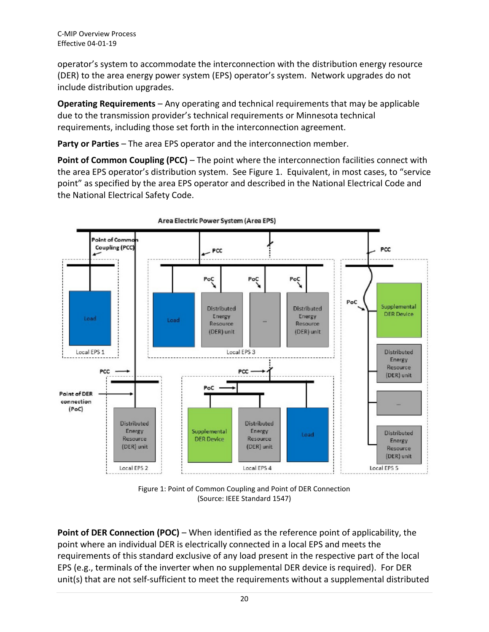operator's system to accommodate the interconnection with the distribution energy resource (DER) to the area energy power system (EPS) operator's system. Network upgrades do not include distribution upgrades.

**Operating Requirements** – Any operating and technical requirements that may be applicable due to the transmission provider's technical requirements or Minnesota technical requirements, including those set forth in the interconnection agreement.

**Party or Parties** – The area EPS operator and the interconnection member.

**Point of Common Coupling (PCC)** – The point where the interconnection facilities connect with the area EPS operator's distribution system. See Figure 1. Equivalent, in most cases, to "service point" as specified by the area EPS operator and described in the National Electrical Code and the National Electrical Safety Code.



Area Electric Power System (Area EPS)

Figure 1: Point of Common Coupling and Point of DER Connection (Source: IEEE Standard 1547)

**Point of DER Connection (POC)** – When identified as the reference point of applicability, the point where an individual DER is electrically connected in a local EPS and meets the requirements of this standard exclusive of any load present in the respective part of the local EPS (e.g., terminals of the inverter when no supplemental DER device is required). For DER unit(s) that are not self-sufficient to meet the requirements without a supplemental distributed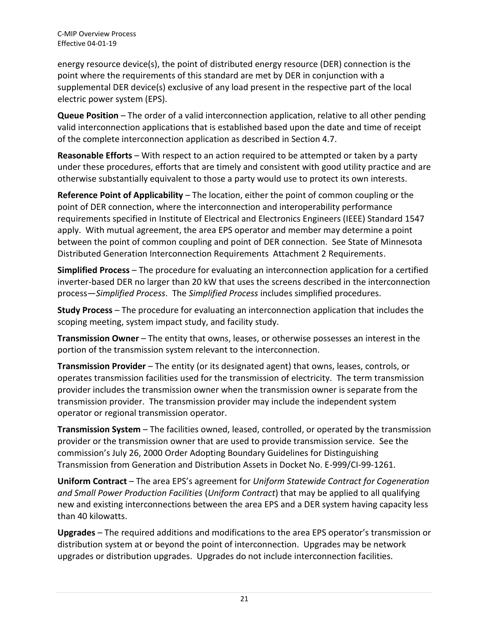energy resource device(s), the point of distributed energy resource (DER) connection is the point where the requirements of this standard are met by DER in conjunction with a supplemental DER device(s) exclusive of any load present in the respective part of the local electric power system (EPS).

**Queue Position** – The order of a valid interconnection application, relative to all other pending valid interconnection applications that is established based upon the date and time of receipt of the complete interconnection application as described in Section [4.7.](#page-9-1)

**Reasonable Efforts** – With respect to an action required to be attempted or taken by a party under these procedures, efforts that are timely and consistent with good utility practice and are otherwise substantially equivalent to those a party would use to protect its own interests.

**Reference Point of Applicability** – The location, either the point of common coupling or the point of DER connection, where the interconnection and interoperability performance requirements specified in Institute of Electrical and Electronics Engineers (IEEE) Standard 1547 apply. With mutual agreement, the area EPS operator and member may determine a point between the point of common coupling and point of DER connection. See State of Minnesota Distributed Generation Interconnection Requirements Attachment 2 Requirements.

**Simplified Process** – The procedure for evaluating an interconnection application for a certified inverter-based DER no larger than 20 kW that uses the screens described in the interconnection process—*Simplified Process*. The *Simplified Process* includes simplified procedures.

**Study Process** – The procedure for evaluating an interconnection application that includes the scoping meeting, system impact study, and facility study.

**Transmission Owner** – The entity that owns, leases, or otherwise possesses an interest in the portion of the transmission system relevant to the interconnection.

**Transmission Provider** – The entity (or its designated agent) that owns, leases, controls, or operates transmission facilities used for the transmission of electricity. The term transmission provider includes the transmission owner when the transmission owner is separate from the transmission provider. The transmission provider may include the independent system operator or regional transmission operator.

**Transmission System** – The facilities owned, leased, controlled, or operated by the transmission provider or the transmission owner that are used to provide transmission service. See the commission's July 26, 2000 Order Adopting Boundary Guidelines for Distinguishing Transmission from Generation and Distribution Assets in Docket No. E-999/CI-99-1261.

**Uniform Contract** – The area EPS's agreement for *Uniform Statewide Contract for Cogeneration and Small Power Production Facilities* (*Uniform Contract*) that may be applied to all qualifying new and existing interconnections between the area EPS and a DER system having capacity less than 40 kilowatts.

**Upgrades** – The required additions and modifications to the area EPS operator's transmission or distribution system at or beyond the point of interconnection. Upgrades may be network upgrades or distribution upgrades. Upgrades do not include interconnection facilities.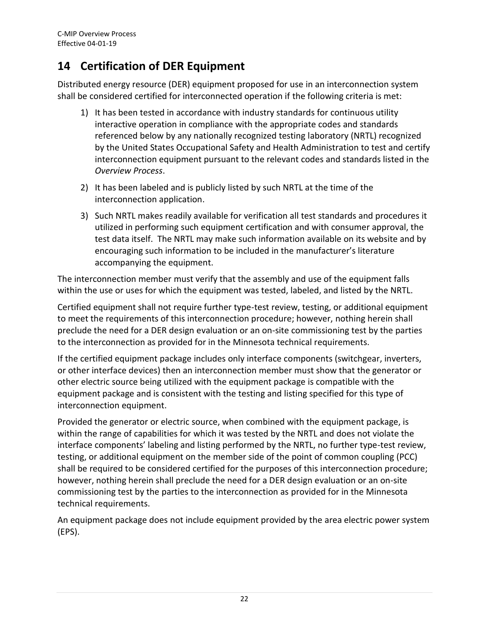# **14 Certification of DER Equipment**

Distributed energy resource (DER) equipment proposed for use in an interconnection system shall be considered certified for interconnected operation if the following criteria is met:

- 1) It has been tested in accordance with industry standards for continuous utility interactive operation in compliance with the appropriate codes and standards referenced below by any nationally recognized testing laboratory (NRTL) recognized by the United States Occupational Safety and Health Administration to test and certify interconnection equipment pursuant to the relevant codes and standards listed in the *Overview Process*.
- 2) It has been labeled and is publicly listed by such NRTL at the time of the interconnection application.
- 3) Such NRTL makes readily available for verification all test standards and procedures it utilized in performing such equipment certification and with consumer approval, the test data itself. The NRTL may make such information available on its website and by encouraging such information to be included in the manufacturer's literature accompanying the equipment.

The interconnection member must verify that the assembly and use of the equipment falls within the use or uses for which the equipment was tested, labeled, and listed by the NRTL.

Certified equipment shall not require further type-test review, testing, or additional equipment to meet the requirements of this interconnection procedure; however, nothing herein shall preclude the need for a DER design evaluation or an on-site commissioning test by the parties to the interconnection as provided for in the Minnesota technical requirements.

If the certified equipment package includes only interface components (switchgear, inverters, or other interface devices) then an interconnection member must show that the generator or other electric source being utilized with the equipment package is compatible with the equipment package and is consistent with the testing and listing specified for this type of interconnection equipment.

Provided the generator or electric source, when combined with the equipment package, is within the range of capabilities for which it was tested by the NRTL and does not violate the interface components' labeling and listing performed by the NRTL, no further type-test review, testing, or additional equipment on the member side of the point of common coupling (PCC) shall be required to be considered certified for the purposes of this interconnection procedure; however, nothing herein shall preclude the need for a DER design evaluation or an on-site commissioning test by the parties to the interconnection as provided for in the Minnesota technical requirements.

An equipment package does not include equipment provided by the area electric power system (EPS).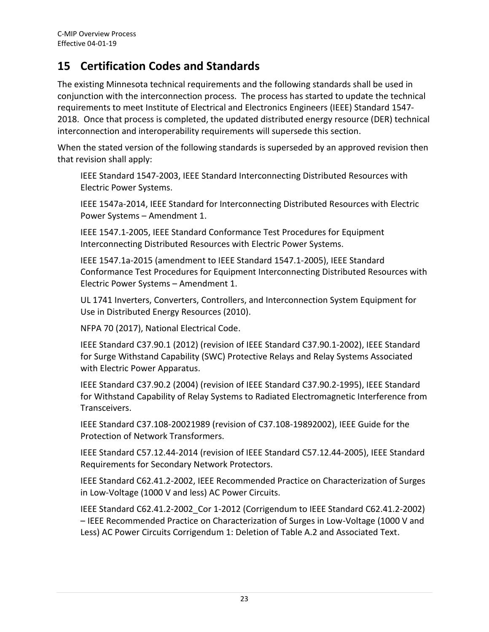# <span id="page-24-0"></span>**15 Certification Codes and Standards**

The existing Minnesota technical requirements and the following standards shall be used in conjunction with the interconnection process. The process has started to update the technical requirements to meet Institute of Electrical and Electronics Engineers (IEEE) Standard 1547- 2018. Once that process is completed, the updated distributed energy resource (DER) technical interconnection and interoperability requirements will supersede this section.

When the stated version of the following standards is superseded by an approved revision then that revision shall apply:

IEEE Standard 1547-2003, IEEE Standard Interconnecting Distributed Resources with Electric Power Systems.

IEEE 1547a-2014, IEEE Standard for Interconnecting Distributed Resources with Electric Power Systems – Amendment 1.

IEEE 1547.1-2005, IEEE Standard Conformance Test Procedures for Equipment Interconnecting Distributed Resources with Electric Power Systems.

IEEE 1547.1a-2015 (amendment to IEEE Standard 1547.1-2005), IEEE Standard Conformance Test Procedures for Equipment Interconnecting Distributed Resources with Electric Power Systems – Amendment 1.

UL 1741 Inverters, Converters, Controllers, and Interconnection System Equipment for Use in Distributed Energy Resources (2010).

NFPA 70 (2017), National Electrical Code.

IEEE Standard C37.90.1 (2012) (revision of IEEE Standard C37.90.1-2002), IEEE Standard for Surge Withstand Capability (SWC) Protective Relays and Relay Systems Associated with Electric Power Apparatus.

IEEE Standard C37.90.2 (2004) (revision of IEEE Standard C37.90.2-1995), IEEE Standard for Withstand Capability of Relay Systems to Radiated Electromagnetic Interference from Transceivers.

IEEE Standard C37.108-20021989 (revision of C37.108-19892002), IEEE Guide for the Protection of Network Transformers.

IEEE Standard C57.12.44-2014 (revision of IEEE Standard C57.12.44-2005), IEEE Standard Requirements for Secondary Network Protectors.

IEEE Standard C62.41.2-2002, IEEE Recommended Practice on Characterization of Surges in Low-Voltage (1000 V and less) AC Power Circuits.

IEEE Standard C62.41.2-2002\_Cor 1-2012 (Corrigendum to IEEE Standard C62.41.2-2002) – IEEE Recommended Practice on Characterization of Surges in Low-Voltage (1000 V and Less) AC Power Circuits Corrigendum 1: Deletion of Table A.2 and Associated Text.